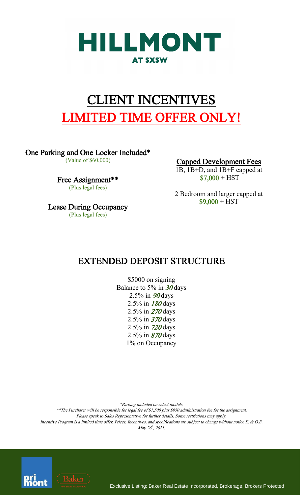

# CLIENT INCENTIVES LIMITED TIME OFFER ONLY!

One Parking and One Locker Included\*

(Value of \$60,000)

Free Assignment\*\* (Plus legal fees)

Lease During Occupancy (Plus legal fees)

Capped Development Fees

1B, 1B+D, and 1B+F capped at  $$7,000 + HST$ 

2 Bedroom and larger capped at  $$9,000 + HST$ 

### EXTENDED DEPOSIT STRUCTURE

\$5000 on signing Balance to 5% in  $30 \text{ days}$ 2.5% in <sup>90</sup> days 2.5% in <sup>180</sup> days 2.5% in <sup>270</sup> days 2.5% in <sup>370</sup> days 2.5% in <sup>720</sup> days 2.5% in <sup>870</sup> days 1% on Occupancy

\*Parking included on select models.

\*\*The Purchaser will be responsible for legal fee of \$1,500 plus \$950 administration fee for the assignment. Please speak to Sales Representative for further details. Some restrictions may apply. Incentive Program is a limited time offer. Prices, Incentives, and specifications are subject to change without notice E. & O.E. May 26th, 2021.



Exclusive Listing: Baker Real Estate Incorporated, Brokerage. Brokers Protected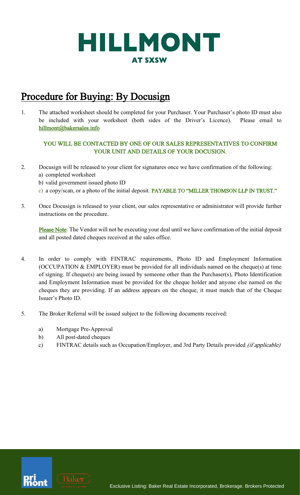

### Procedure for Buying: By Docusign

1. The attached worksheet should be completed for your Purchaser. Your Purchaser's photo ID must also be included with your worksheet (both sides of the Driver's Licence). Please email to hillmont@bakersales.info

#### YOU WILL BE CONTACTED BY ONE OF OUR SALES REPRESENTATIVES TO CONFIRM YOUR UNIT AND DETAILS OF YOUR DOCUSIGN.

- 2. Docusign will be released to your client for signatures once we have confirmation of the following: a) completed worksheet
	- b) valid government issued photo ID
	- c) a copy/scan, or a photo of the initial deposit. PAYABLE TO "MILLER THOMSON LLP IN TRUST."
- 3. Once Docusign is released to your client, our sales representative or administrator will provide further instructions on the procedure.

Please Note: The Vendor will not be executing your deal until we have confirmation of the initial deposit and all posted dated cheques received at the sales office.

- 4. In order to comply with FINTRAC requirements, Photo ID and Employment Information (OCCUPATION & EMPLOYER) must be provided for all individuals named on the cheque(s) at time of signing. If cheque(s) are being issued by someone other than the Purchaser(s), Photo Identification and Employment Information must be provided for the cheque holder and anyone else named on the cheques they are providing. If an address appears on the cheque, it must match that of the Cheque Issuer's Photo ID.
- 5. The Broker Referral will be issued subject to the following documents received:
	- a) Mortgage Pre-Approval
	- b) All post-dated cheques
	- c) FINTRAC details such as Occupation/Employer, and 3rd Party Details provided *(if applicable)*